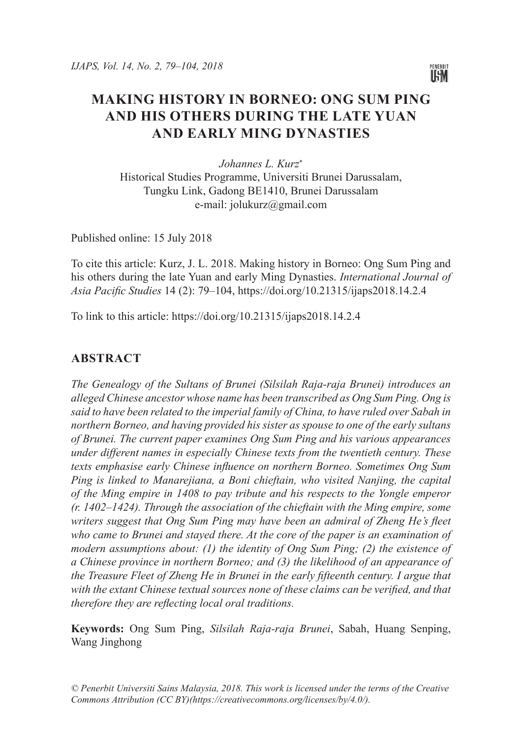

# **MAKING HISTORY IN BORNEO: ONG SUM PING AND HIS OTHERS DURING THE LATE YUAN AND EARLY MING DYNASTIES**

*Johannes L. Kurz*<sup>∗</sup> Historical Studies Programme, Universiti Brunei Darussalam, Tungku Link, Gadong BE1410, Brunei Darussalam e-mail: jolukurz@gmail.com

Published online: 15 July 2018

To cite this article: Kurz, J. L. 2018. Making history in Borneo: Ong Sum Ping and his others during the late Yuan and early Ming Dynasties. *International Journal of Asia Pacific Studies* 14 (2): 79–104, https://doi.org/10.21315/ijaps2018.14.2.4

To link to this article: https://doi.org/10.21315/ijaps2018.14.2.4

#### **ABSTRACT**

*The Genealogy of the Sultans of Brunei (Silsilah Raja-raja Brunei) introduces an alleged Chinese ancestor whose name has been transcribed as Ong Sum Ping. Ong is said to have been related to the imperial family of China, to have ruled over Sabah in northern Borneo, and having provided his sister as spouse to one of the early sultans of Brunei. The current paper examines Ong Sum Ping and his various appearances under different names in especially Chinese texts from the twentieth century. These texts emphasise early Chinese influence on northern Borneo. Sometimes Ong Sum Ping is linked to Manarejiana, a Boni chieftain, who visited Nanjing, the capital of the Ming empire in 1408 to pay tribute and his respects to the Yongle emperor (r. 1402–1424). Through the association of the chieftain with the Ming empire, some writers suggest that Ong Sum Ping may have been an admiral of Zheng He's fleet who came to Brunei and stayed there. At the core of the paper is an examination of modern assumptions about: (1) the identity of Ong Sum Ping; (2) the existence of a Chinese province in northern Borneo; and (3) the likelihood of an appearance of the Treasure Fleet of Zheng He in Brunei in the early fifteenth century. I argue that with the extant Chinese textual sources none of these claims can be verified, and that therefore they are reflecting local oral traditions.*

**Keywords:** Ong Sum Ping, *Silsilah Raja-raja Brunei*, Sabah, Huang Senping, Wang Jinghong

*© Penerbit Universiti Sains Malaysia, 2018. This work is licensed under the terms of the Creative Commons Attribution (CC BY)(https://creativecommons.org/licenses/by/4.0/).*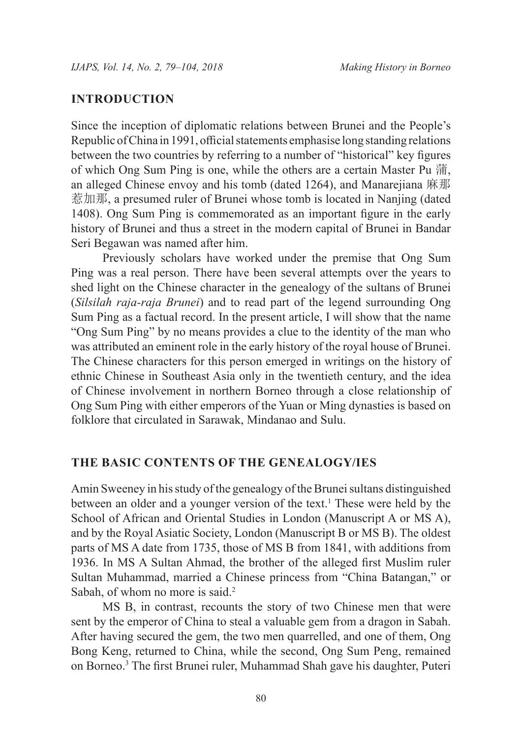#### **INTRODUCTION**

Since the inception of diplomatic relations between Brunei and the People's Republic of China in 1991, official statements emphasise long standing relations between the two countries by referring to a number of "historical" key figures of which Ong Sum Ping is one, while the others are a certain Master Pu 蒲, an alleged Chinese envoy and his tomb (dated 1264), and Manarejiana 麻那 惹加那, a presumed ruler of Brunei whose tomb is located in Nanjing (dated 1408). Ong Sum Ping is commemorated as an important figure in the early history of Brunei and thus a street in the modern capital of Brunei in Bandar Seri Begawan was named after him.

Previously scholars have worked under the premise that Ong Sum Ping was a real person. There have been several attempts over the years to shed light on the Chinese character in the genealogy of the sultans of Brunei (*Silsilah raja-raja Brunei*) and to read part of the legend surrounding Ong Sum Ping as a factual record. In the present article, I will show that the name "Ong Sum Ping" by no means provides a clue to the identity of the man who was attributed an eminent role in the early history of the royal house of Brunei. The Chinese characters for this person emerged in writings on the history of ethnic Chinese in Southeast Asia only in the twentieth century, and the idea of Chinese involvement in northern Borneo through a close relationship of Ong Sum Ping with either emperors of the Yuan or Ming dynasties is based on folklore that circulated in Sarawak, Mindanao and Sulu.

#### **THE BASIC CONTENTS OF THE GENEALOGY/IES**

Amin Sweeney in his study of the genealogy of the Brunei sultans distinguished between an older and a younger version of the text.<sup>1</sup> These were held by the School of African and Oriental Studies in London (Manuscript A or MS A), and by the Royal Asiatic Society, London (Manuscript B or MS B). The oldest parts of MS A date from 1735, those of MS B from 1841, with additions from 1936. In MS A Sultan Ahmad, the brother of the alleged first Muslim ruler Sultan Muhammad, married a Chinese princess from "China Batangan," or Sabah, of whom no more is said.<sup>2</sup>

MS B, in contrast, recounts the story of two Chinese men that were sent by the emperor of China to steal a valuable gem from a dragon in Sabah. After having secured the gem, the two men quarrelled, and one of them, Ong Bong Keng, returned to China, while the second, Ong Sum Peng, remained on Borneo.<sup>3</sup> The first Brunei ruler, Muhammad Shah gave his daughter, Puteri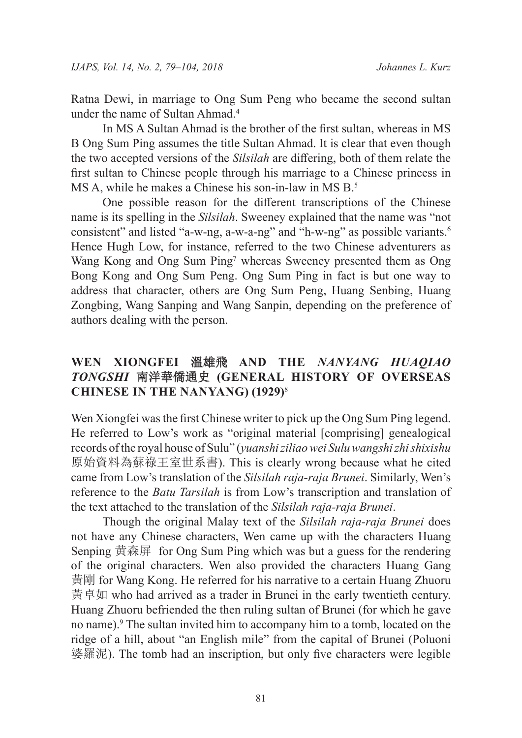Ratna Dewi, in marriage to Ong Sum Peng who became the second sultan under the name of Sultan Ahmad.4

In MS A Sultan Ahmad is the brother of the first sultan, whereas in MS B Ong Sum Ping assumes the title Sultan Ahmad. It is clear that even though the two accepted versions of the *Silsilah* are differing, both of them relate the first sultan to Chinese people through his marriage to a Chinese princess in MS A, while he makes a Chinese his son-in-law in MS  $B<sub>5</sub>$ <sup>5</sup>

One possible reason for the different transcriptions of the Chinese name is its spelling in the *Silsilah*. Sweeney explained that the name was "not consistent" and listed "a-w-ng, a-w-a-ng" and "h-w-ng" as possible variants.<sup>6</sup> Hence Hugh Low, for instance, referred to the two Chinese adventurers as Wang Kong and Ong Sum Ping<sup>7</sup> whereas Sweeney presented them as Ong Bong Kong and Ong Sum Peng. Ong Sum Ping in fact is but one way to address that character, others are Ong Sum Peng, Huang Senbing, Huang Zongbing, Wang Sanping and Wang Sanpin, depending on the preference of authors dealing with the person.

# **WEN XIONGFEI** 溫雄飛 **AND THE** *NANYANG HUAQIAO TONGSHI* 南洋華僑通史 **(GENERAL HISTORY OF OVERSEAS CHINESE IN THE NANYANG) (1929)**<sup>8</sup>

Wen Xiongfei was the first Chinese writer to pick up the Ong Sum Ping legend. He referred to Low's work as "original material [comprising] genealogical records of the royal house of Sulu" (*yuanshi ziliao wei Sulu wangshi zhi shixishu* 原始資料為蘇祿王室世系書). This is clearly wrong because what he cited came from Low's translation of the *Silsilah raja-raja Brunei*. Similarly, Wen's reference to the *Batu Tarsilah* is from Low's transcription and translation of the text attached to the translation of the *Silsilah raja-raja Brunei*.

Though the original Malay text of the *Silsilah raja-raja Brunei* does not have any Chinese characters, Wen came up with the characters Huang Senping 黄森屏 for Ong Sum Ping which was but a guess for the rendering of the original characters. Wen also provided the characters Huang Gang 黃剛 for Wang Kong. He referred for his narrative to a certain Huang Zhuoru 黃卓如 who had arrived as a trader in Brunei in the early twentieth century. Huang Zhuoru befriended the then ruling sultan of Brunei (for which he gave no name).9 The sultan invited him to accompany him to a tomb, located on the ridge of a hill, about "an English mile" from the capital of Brunei (Poluoni 婆羅泥). The tomb had an inscription, but only five characters were legible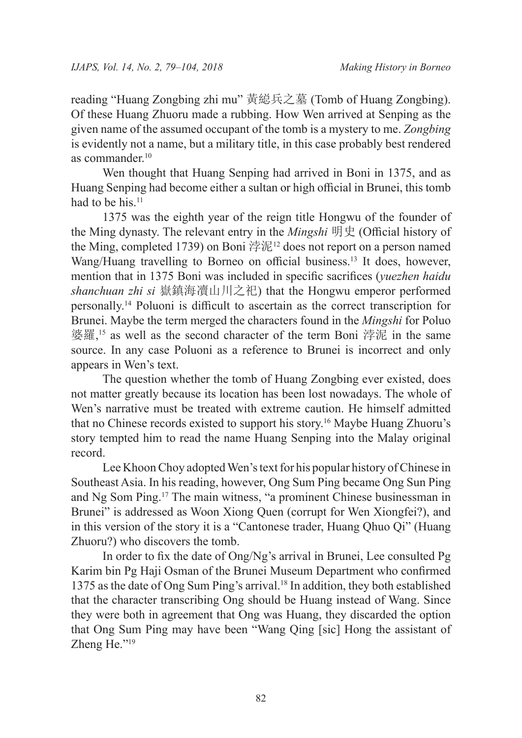reading "Huang Zongbing zhi mu" 黃縂兵之墓 (Tomb of Huang Zongbing). Of these Huang Zhuoru made a rubbing. How Wen arrived at Senping as the given name of the assumed occupant of the tomb is a mystery to me. *Zongbing* is evidently not a name, but a military title, in this case probably best rendered as commander.10

Wen thought that Huang Senping had arrived in Boni in 1375, and as Huang Senping had become either a sultan or high official in Brunei, this tomb had to be his. $11$ 

1375 was the eighth year of the reign title Hongwu of the founder of the Ming dynasty. The relevant entry in the *Mingshi* 明史 (Official history of the Ming, completed 1739) on Boni 浡泥12 does not report on a person named Wang/Huang travelling to Borneo on official business.<sup>13</sup> It does, however, mention that in 1375 Boni was included in specific sacrifices (*yuezhen haidu shanchuan zhi si* 嶽鎮海凟山川之祀) that the Hongwu emperor performed personally.14 Poluoni is difficult to ascertain as the correct transcription for Brunei. Maybe the term merged the characters found in the *Mingshi* for Poluo 婆羅,<sup>15</sup> as well as the second character of the term Boni 浡泥 in the same source. In any case Poluoni as a reference to Brunei is incorrect and only appears in Wen's text.

The question whether the tomb of Huang Zongbing ever existed, does not matter greatly because its location has been lost nowadays. The whole of Wen's narrative must be treated with extreme caution. He himself admitted that no Chinese records existed to support his story.16 Maybe Huang Zhuoru's story tempted him to read the name Huang Senping into the Malay original record.

Lee Khoon Choy adopted Wen's text for his popular history of Chinese in Southeast Asia. In his reading, however, Ong Sum Ping became Ong Sun Ping and Ng Som Ping.17 The main witness, "a prominent Chinese businessman in Brunei" is addressed as Woon Xiong Quen (corrupt for Wen Xiongfei?), and in this version of the story it is a "Cantonese trader, Huang Qhuo Qi" (Huang Zhuoru?) who discovers the tomb.

In order to fix the date of Ong/Ng's arrival in Brunei, Lee consulted Pg Karim bin Pg Haji Osman of the Brunei Museum Department who confirmed 1375 as the date of Ong Sum Ping's arrival.18 In addition, they both established that the character transcribing Ong should be Huang instead of Wang. Since they were both in agreement that Ong was Huang, they discarded the option that Ong Sum Ping may have been "Wang Qing [sic] Hong the assistant of Zheng He."<sup>19</sup>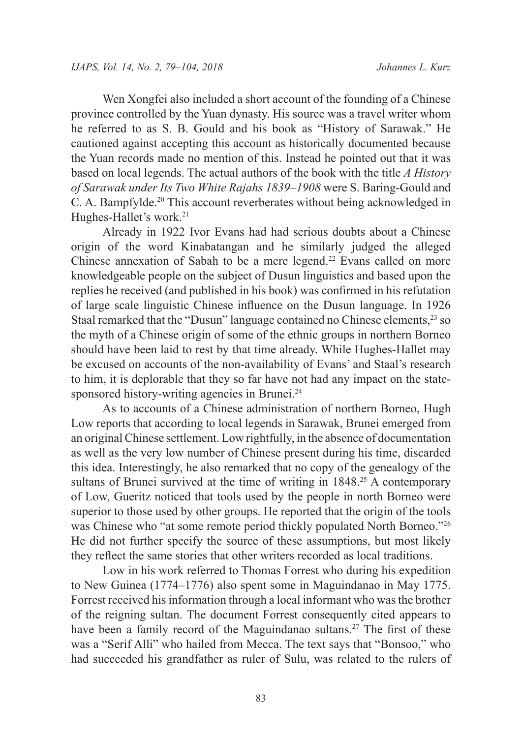Wen Xongfei also included a short account of the founding of a Chinese province controlled by the Yuan dynasty. His source was a travel writer whom he referred to as S. B. Gould and his book as "History of Sarawak." He cautioned against accepting this account as historically documented because the Yuan records made no mention of this. Instead he pointed out that it was based on local legends. The actual authors of the book with the title *A History of Sarawak under Its Two White Rajahs 1839–1908* were S. Baring-Gould and C. A. Bampfylde.<sup>20</sup> This account reverberates without being acknowledged in Hughes-Hallet's work.<sup>21</sup>

Already in 1922 Ivor Evans had had serious doubts about a Chinese origin of the word Kinabatangan and he similarly judged the alleged Chinese annexation of Sabah to be a mere legend.22 Evans called on more knowledgeable people on the subject of Dusun linguistics and based upon the replies he received (and published in his book) was confirmed in his refutation of large scale linguistic Chinese influence on the Dusun language. In 1926 Staal remarked that the "Dusun" language contained no Chinese elements,<sup>23</sup> so the myth of a Chinese origin of some of the ethnic groups in northern Borneo should have been laid to rest by that time already. While Hughes-Hallet may be excused on accounts of the non-availability of Evans' and Staal's research to him, it is deplorable that they so far have not had any impact on the statesponsored history-writing agencies in Brunei.<sup>24</sup>

As to accounts of a Chinese administration of northern Borneo, Hugh Low reports that according to local legends in Sarawak, Brunei emerged from an original Chinese settlement. Low rightfully, in the absence of documentation as well as the very low number of Chinese present during his time, discarded this idea. Interestingly, he also remarked that no copy of the genealogy of the sultans of Brunei survived at the time of writing in 1848.<sup>25</sup> A contemporary of Low, Gueritz noticed that tools used by the people in north Borneo were superior to those used by other groups. He reported that the origin of the tools was Chinese who "at some remote period thickly populated North Borneo."<sup>26</sup> He did not further specify the source of these assumptions, but most likely they reflect the same stories that other writers recorded as local traditions.

Low in his work referred to Thomas Forrest who during his expedition to New Guinea (1774–1776) also spent some in Maguindanao in May 1775. Forrest received his information through a local informant who was the brother of the reigning sultan. The document Forrest consequently cited appears to have been a family record of the Maguindanao sultans.<sup>27</sup> The first of these was a "Serif Alli" who hailed from Mecca. The text says that "Bonsoo," who had succeeded his grandfather as ruler of Sulu, was related to the rulers of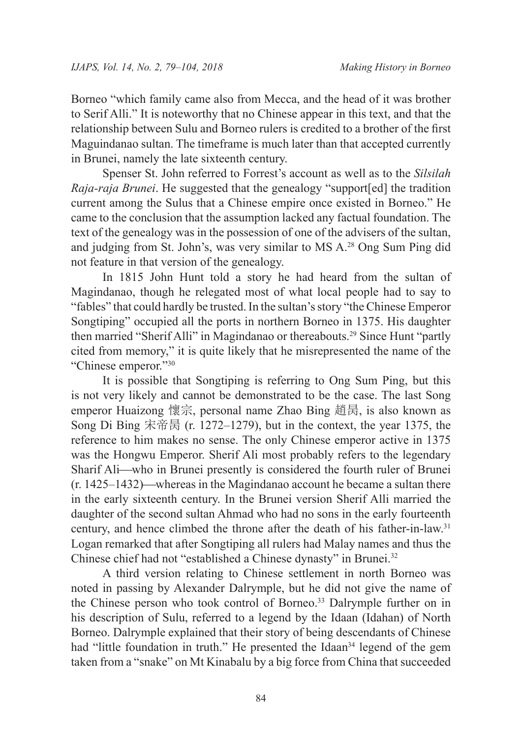Borneo "which family came also from Mecca, and the head of it was brother to Serif Alli." It is noteworthy that no Chinese appear in this text, and that the relationship between Sulu and Borneo rulers is credited to a brother of the first Maguindanao sultan. The timeframe is much later than that accepted currently in Brunei, namely the late sixteenth century.

Spenser St. John referred to Forrest's account as well as to the *Silsilah Raja-raja Brunei*. He suggested that the genealogy "support[ed] the tradition current among the Sulus that a Chinese empire once existed in Borneo." He came to the conclusion that the assumption lacked any factual foundation. The text of the genealogy was in the possession of one of the advisers of the sultan, and judging from St. John's, was very similar to MS A.28 Ong Sum Ping did not feature in that version of the genealogy.

In 1815 John Hunt told a story he had heard from the sultan of Magindanao, though he relegated most of what local people had to say to "fables" that could hardly be trusted. In the sultan's story "the Chinese Emperor Songtiping" occupied all the ports in northern Borneo in 1375. His daughter then married "Sherif Alli" in Magindanao or thereabouts.29 Since Hunt "partly cited from memory," it is quite likely that he misrepresented the name of the "Chinese emperor."30

It is possible that Songtiping is referring to Ong Sum Ping, but this is not very likely and cannot be demonstrated to be the case. The last Song emperor Huaizong 懷宗, personal name Zhao Bing 趙昺, is also known as Song Di Bing 宋帝昺 (r. 1272–1279), but in the context, the year 1375, the reference to him makes no sense. The only Chinese emperor active in 1375 was the Hongwu Emperor. Sherif Ali most probably refers to the legendary Sharif Ali—who in Brunei presently is considered the fourth ruler of Brunei  $(r. 1425-1432)$  whereas in the Magindanao account he became a sultan there in the early sixteenth century. In the Brunei version Sherif Alli married the daughter of the second sultan Ahmad who had no sons in the early fourteenth century, and hence climbed the throne after the death of his father-in-law.<sup>31</sup> Logan remarked that after Songtiping all rulers had Malay names and thus the Chinese chief had not "established a Chinese dynasty" in Brunei.<sup>32</sup>

A third version relating to Chinese settlement in north Borneo was noted in passing by Alexander Dalrymple, but he did not give the name of the Chinese person who took control of Borneo.<sup>33</sup> Dalrymple further on in his description of Sulu, referred to a legend by the Idaan (Idahan) of North Borneo. Dalrymple explained that their story of being descendants of Chinese had "little foundation in truth." He presented the Idaan<sup>34</sup> legend of the gem taken from a "snake" on Mt Kinabalu by a big force from China that succeeded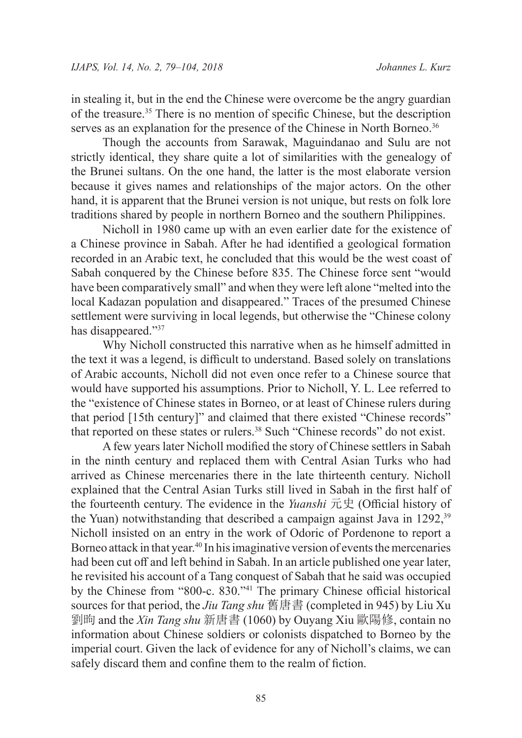in stealing it, but in the end the Chinese were overcome be the angry guardian of the treasure.35 There is no mention of specific Chinese, but the description serves as an explanation for the presence of the Chinese in North Borneo.<sup>36</sup>

Though the accounts from Sarawak, Maguindanao and Sulu are not strictly identical, they share quite a lot of similarities with the genealogy of the Brunei sultans. On the one hand, the latter is the most elaborate version because it gives names and relationships of the major actors. On the other hand, it is apparent that the Brunei version is not unique, but rests on folk lore traditions shared by people in northern Borneo and the southern Philippines.

Nicholl in 1980 came up with an even earlier date for the existence of a Chinese province in Sabah. After he had identified a geological formation recorded in an Arabic text, he concluded that this would be the west coast of Sabah conquered by the Chinese before 835. The Chinese force sent "would have been comparatively small" and when they were left alone "melted into the local Kadazan population and disappeared." Traces of the presumed Chinese settlement were surviving in local legends, but otherwise the "Chinese colony has disappeared."37

Why Nicholl constructed this narrative when as he himself admitted in the text it was a legend, is difficult to understand. Based solely on translations of Arabic accounts, Nicholl did not even once refer to a Chinese source that would have supported his assumptions. Prior to Nicholl, Y. L. Lee referred to the "existence of Chinese states in Borneo, or at least of Chinese rulers during that period [15th century]" and claimed that there existed "Chinese records" that reported on these states or rulers.<sup>38</sup> Such "Chinese records" do not exist.

A few years later Nicholl modified the story of Chinese settlers in Sabah in the ninth century and replaced them with Central Asian Turks who had arrived as Chinese mercenaries there in the late thirteenth century. Nicholl explained that the Central Asian Turks still lived in Sabah in the first half of the fourteenth century. The evidence in the *Yuanshi* 元史 (Official history of the Yuan) notwithstanding that described a campaign against Java in 1292,<sup>39</sup> Nicholl insisted on an entry in the work of Odoric of Pordenone to report a Borneo attack in that year.<sup>40</sup> In his imaginative version of events the mercenaries had been cut off and left behind in Sabah. In an article published one year later, he revisited his account of a Tang conquest of Sabah that he said was occupied by the Chinese from "800-c. 830."41 The primary Chinese official historical sources for that period, the *Jiu Tang shu* 舊唐書 (completed in 945) by Liu Xu 劉昫 and the *Xin Tang shu* 新唐書 (1060) by Ouyang Xiu 歐陽修, contain no information about Chinese soldiers or colonists dispatched to Borneo by the imperial court. Given the lack of evidence for any of Nicholl's claims, we can safely discard them and confine them to the realm of fiction.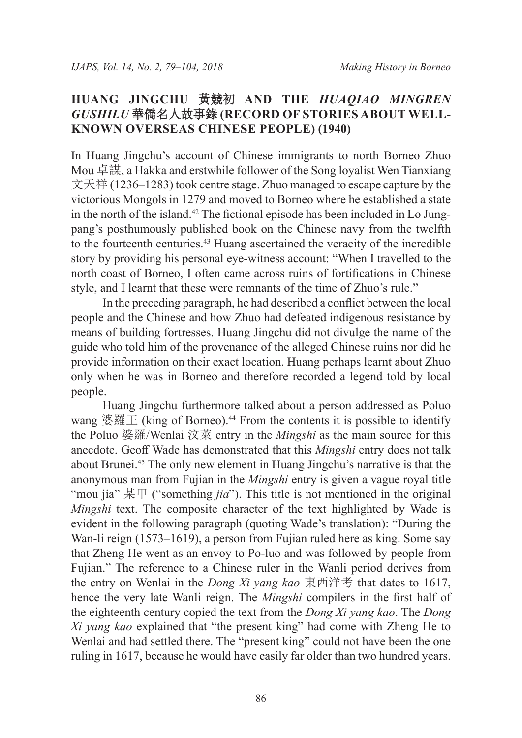# **HUANG JINGCHU** 黃競初 **AND THE** *HUAQIAO MINGREN GUSHILU* 華僑名人故事錄 **(RECORD OF STORIES ABOUT WELL-KNOWN OVERSEAS CHINESE PEOPLE) (1940)**

In Huang Jingchu's account of Chinese immigrants to north Borneo Zhuo Mou 卓謀, a Hakka and erstwhile follower of the Song loyalist Wen Tianxiang 文天祥 (1236–1283) took centre stage. Zhuo managed to escape capture by the victorious Mongols in 1279 and moved to Borneo where he established a state in the north of the island.42 The fictional episode has been included in Lo Jungpang's posthumously published book on the Chinese navy from the twelfth to the fourteenth centuries.<sup>43</sup> Huang ascertained the veracity of the incredible story by providing his personal eye-witness account: "When I travelled to the north coast of Borneo, I often came across ruins of fortifications in Chinese style, and I learnt that these were remnants of the time of Zhuo's rule."

In the preceding paragraph, he had described a conflict between the local people and the Chinese and how Zhuo had defeated indigenous resistance by means of building fortresses. Huang Jingchu did not divulge the name of the guide who told him of the provenance of the alleged Chinese ruins nor did he provide information on their exact location. Huang perhaps learnt about Zhuo only when he was in Borneo and therefore recorded a legend told by local people.

Huang Jingchu furthermore talked about a person addressed as Poluo wang 婆羅王 (king of Borneo).<sup>44</sup> From the contents it is possible to identify the Poluo 婆羅/Wenlai 汶萊 entry in the *Mingshi* as the main source for this anecdote. Geoff Wade has demonstrated that this *Mingshi* entry does not talk about Brunei.45 The only new element in Huang Jingchu's narrative is that the anonymous man from Fujian in the *Mingshi* entry is given a vague royal title "mou jia" 某甲 ("something *jia*"). This title is not mentioned in the original *Mingshi* text. The composite character of the text highlighted by Wade is evident in the following paragraph (quoting Wade's translation): "During the Wan-li reign (1573–1619), a person from Fujian ruled here as king. Some say that Zheng He went as an envoy to Po-luo and was followed by people from Fujian." The reference to a Chinese ruler in the Wanli period derives from the entry on Wenlai in the *Dong Xi yang kao* 東西洋考 that dates to 1617, hence the very late Wanli reign. The *Mingshi* compilers in the first half of the eighteenth century copied the text from the *Dong Xi yang kao*. The *Dong Xi yang kao* explained that "the present king" had come with Zheng He to Wenlai and had settled there. The "present king" could not have been the one ruling in 1617, because he would have easily far older than two hundred years.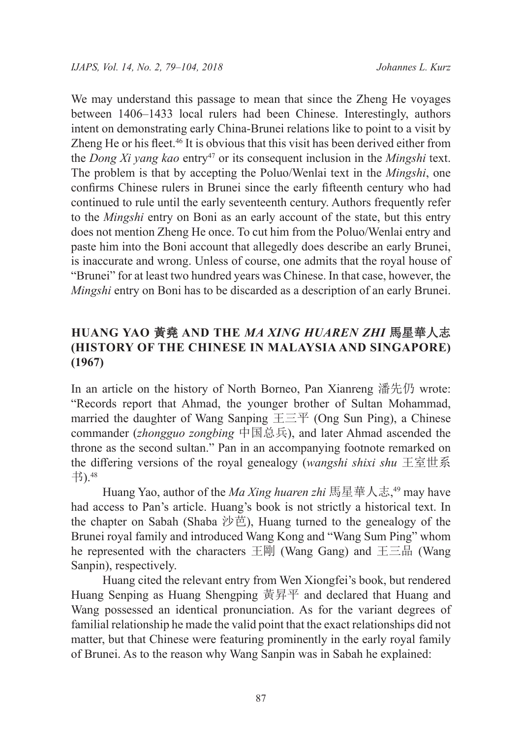We may understand this passage to mean that since the Zheng He voyages between 1406–1433 local rulers had been Chinese. Interestingly, authors intent on demonstrating early China-Brunei relations like to point to a visit by Zheng He or his fleet.<sup>46</sup> It is obvious that this visit has been derived either from the *Dong Xi yang kao* entry<sup>47</sup> or its consequent inclusion in the *Mingshi* text. The problem is that by accepting the Poluo/Wenlai text in the *Mingshi*, one confirms Chinese rulers in Brunei since the early fifteenth century who had continued to rule until the early seventeenth century. Authors frequently refer to the *Mingshi* entry on Boni as an early account of the state, but this entry does not mention Zheng He once. To cut him from the Poluo/Wenlai entry and paste him into the Boni account that allegedly does describe an early Brunei, is inaccurate and wrong. Unless of course, one admits that the royal house of "Brunei" for at least two hundred years was Chinese. In that case, however, the *Mingshi* entry on Boni has to be discarded as a description of an early Brunei.

# **HUANG YAO** 黃堯 **AND THE** *MA XING HUAREN ZHI* 馬星華人志 **(HISTORY OF THE CHINESE IN MALAYSIA AND SINGAPORE) (1967)**

In an article on the history of North Borneo, Pan Xianreng 潘先仍 wrote: "Records report that Ahmad, the younger brother of Sultan Mohammad, married the daughter of Wang Sanping  $\pm \equiv \mp$  (Ong Sun Ping), a Chinese commander (*zhongguo zongbing* 中国总兵), and later Ahmad ascended the throne as the second sultan." Pan in an accompanying footnote remarked on the differing versions of the royal genealogy (*wangshi shixi shu* 王室世系 书).48

Huang Yao, author of the *Ma Xing huaren zhi* 馬星華人志, 49 may have had access to Pan's article. Huang's book is not strictly a historical text. In the chapter on Sabah (Shaba 沙芭), Huang turned to the genealogy of the Brunei royal family and introduced Wang Kong and "Wang Sum Ping" whom he represented with the characters 王剛 (Wang Gang) and 王三品 (Wang Sanpin), respectively.

Huang cited the relevant entry from Wen Xiongfei's book, but rendered Huang Senping as Huang Shengping 黃昇平 and declared that Huang and Wang possessed an identical pronunciation. As for the variant degrees of familial relationship he made the valid point that the exact relationships did not matter, but that Chinese were featuring prominently in the early royal family of Brunei. As to the reason why Wang Sanpin was in Sabah he explained: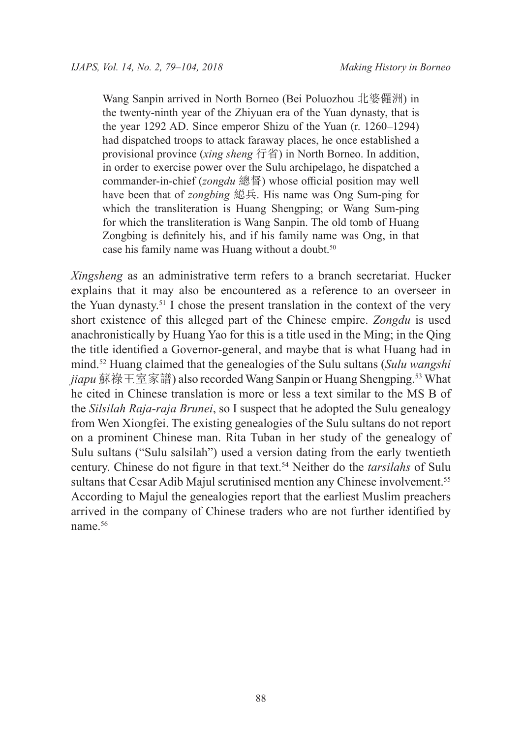Wang Sanpin arrived in North Borneo (Bei Poluozhou 北婆儸洲) in the twenty-ninth year of the Zhiyuan era of the Yuan dynasty, that is the year 1292 AD. Since emperor Shizu of the Yuan (r. 1260–1294) had dispatched troops to attack faraway places, he once established a provisional province (*xing sheng* 行省) in North Borneo. In addition, in order to exercise power over the Sulu archipelago, he dispatched a commander-in-chief (*zongdu* 總督) whose official position may well have been that of *zongbing* 縂兵. His name was Ong Sum-ping for which the transliteration is Huang Shengping; or Wang Sum-ping for which the transliteration is Wang Sanpin. The old tomb of Huang Zongbing is definitely his, and if his family name was Ong, in that case his family name was Huang without a doubt.<sup>50</sup>

*Xingsheng* as an administrative term refers to a branch secretariat. Hucker explains that it may also be encountered as a reference to an overseer in the Yuan dynasty.51 I chose the present translation in the context of the very short existence of this alleged part of the Chinese empire. *Zongdu* is used anachronistically by Huang Yao for this is a title used in the Ming; in the Qing the title identified a Governor-general, and maybe that is what Huang had in mind.52 Huang claimed that the genealogies of the Sulu sultans (*Sulu wangshi jiapu* 蘇祿王室家譜) also recorded Wang Sanpin or Huang Shengping.53 What he cited in Chinese translation is more or less a text similar to the MS B of the *Silsilah Raja-raja Brunei*, so I suspect that he adopted the Sulu genealogy from Wen Xiongfei. The existing genealogies of the Sulu sultans do not report on a prominent Chinese man. Rita Tuban in her study of the genealogy of Sulu sultans ("Sulu salsilah") used a version dating from the early twentieth century. Chinese do not figure in that text.54 Neither do the *tarsilahs* of Sulu sultans that Cesar Adib Majul scrutinised mention any Chinese involvement.<sup>55</sup> According to Majul the genealogies report that the earliest Muslim preachers arrived in the company of Chinese traders who are not further identified by name.56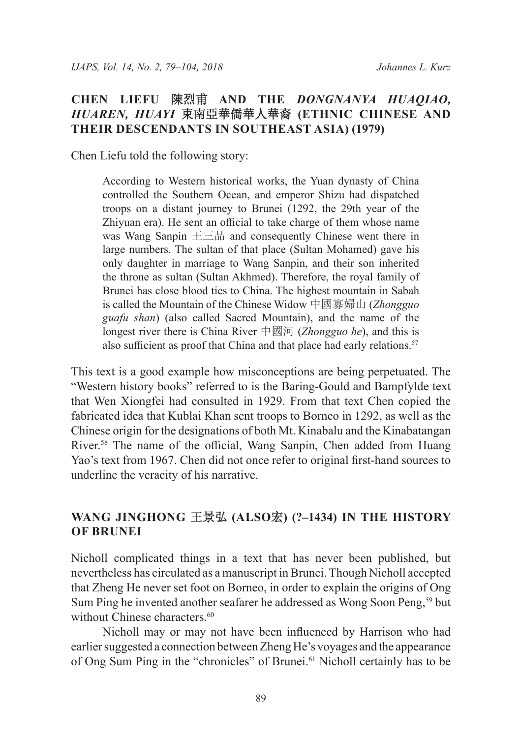*IJAPS, Vol. 14, No. 2, 79–104, 2018 Johannes L. Kurz*

## **Chen Liefu** 陳烈甫 **and the** *Dongnanya huaqiao, huaren, huayi* 東南亞華僑華人華裔 **(Ethnic Chinese and their descendants in Southeast Asia) (1979)**

Chen Liefu told the following story:

According to Western historical works, the Yuan dynasty of China controlled the Southern Ocean, and emperor Shizu had dispatched troops on a distant journey to Brunei (1292, the 29th year of the Zhiyuan era). He sent an official to take charge of them whose name was Wang Sanpin  $\pm \equiv \pm \frac{\Box}{\Box \Pi}$  and consequently Chinese went there in large numbers. The sultan of that place (Sultan Mohamed) gave his only daughter in marriage to Wang Sanpin, and their son inherited the throne as sultan (Sultan Akhmed). Therefore, the royal family of Brunei has close blood ties to China. The highest mountain in Sabah is called the Mountain of the Chinese Widow 中國寡婦山 (*Zhongguo guafu shan*) (also called Sacred Mountain), and the name of the longest river there is China River 中國河 (*Zhongguo he*), and this is also sufficient as proof that China and that place had early relations.<sup>57</sup>

This text is a good example how misconceptions are being perpetuated. The "Western history books" referred to is the Baring-Gould and Bampfylde text that Wen Xiongfei had consulted in 1929. From that text Chen copied the fabricated idea that Kublai Khan sent troops to Borneo in 1292, as well as the Chinese origin for the designations of both Mt. Kinabalu and the Kinabatangan River.58 The name of the official, Wang Sanpin, Chen added from Huang Yao's text from 1967. Chen did not once refer to original first-hand sources to underline the veracity of his narrative.

# **Wang Jinghong** 王景弘 **(also**宏**) (?–1434) in the History of Brunei**

Nicholl complicated things in a text that has never been published, but nevertheless has circulated as a manuscript in Brunei. Though Nicholl accepted that Zheng He never set foot on Borneo, in order to explain the origins of Ong Sum Ping he invented another seafarer he addressed as Wong Soon Peng,<sup>59</sup> but without Chinese characters.<sup>60</sup>

Nicholl may or may not have been influenced by Harrison who had earlier suggested a connection between Zheng He's voyages and the appearance of Ong Sum Ping in the "chronicles" of Brunei.61 Nicholl certainly has to be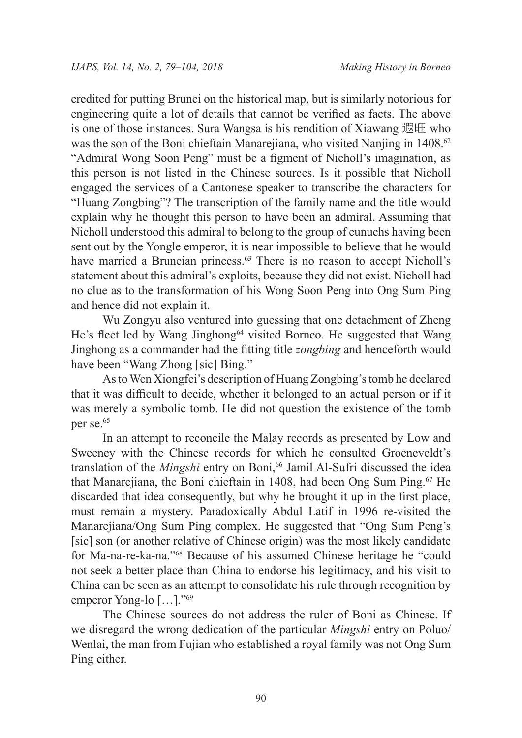credited for putting Brunei on the historical map, but is similarly notorious for engineering quite a lot of details that cannot be verified as facts. The above is one of those instances. Sura Wangsa is his rendition of Xiawang 遐旺 who was the son of the Boni chieftain Manarejiana, who visited Nanjing in 1408.<sup>62</sup> "Admiral Wong Soon Peng" must be a figment of Nicholl's imagination, as this person is not listed in the Chinese sources. Is it possible that Nicholl engaged the services of a Cantonese speaker to transcribe the characters for "Huang Zongbing"? The transcription of the family name and the title would explain why he thought this person to have been an admiral. Assuming that Nicholl understood this admiral to belong to the group of eunuchs having been sent out by the Yongle emperor, it is near impossible to believe that he would have married a Bruneian princess.<sup>63</sup> There is no reason to accept Nicholl's statement about this admiral's exploits, because they did not exist. Nicholl had no clue as to the transformation of his Wong Soon Peng into Ong Sum Ping and hence did not explain it.

Wu Zongyu also ventured into guessing that one detachment of Zheng He's fleet led by Wang Jinghong<sup>64</sup> visited Borneo. He suggested that Wang Jinghong as a commander had the fitting title *zongbing* and henceforth would have been "Wang Zhong [sic] Bing."

As to Wen Xiongfei's description of Huang Zongbing's tomb he declared that it was difficult to decide, whether it belonged to an actual person or if it was merely a symbolic tomb. He did not question the existence of the tomb per se.65

In an attempt to reconcile the Malay records as presented by Low and Sweeney with the Chinese records for which he consulted Groeneveldt's translation of the *Mingshi* entry on Boni,<sup>66</sup> Jamil Al-Sufri discussed the idea that Manarejiana, the Boni chieftain in 1408, had been Ong Sum Ping.67 He discarded that idea consequently, but why he brought it up in the first place, must remain a mystery. Paradoxically Abdul Latif in 1996 re-visited the Manarejiana/Ong Sum Ping complex. He suggested that "Ong Sum Peng's [sic] son (or another relative of Chinese origin) was the most likely candidate for Ma-na-re-ka-na."68 Because of his assumed Chinese heritage he "could not seek a better place than China to endorse his legitimacy, and his visit to China can be seen as an attempt to consolidate his rule through recognition by emperor Yong-lo […]."69

The Chinese sources do not address the ruler of Boni as Chinese. If we disregard the wrong dedication of the particular *Mingshi* entry on Poluo/ Wenlai, the man from Fujian who established a royal family was not Ong Sum Ping either.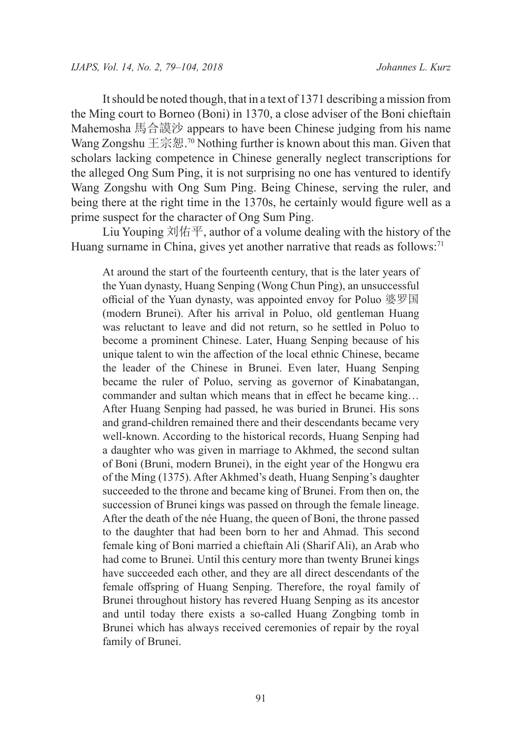It should be noted though, that in a text of 1371 describing a mission from the Ming court to Borneo (Boni) in 1370, a close adviser of the Boni chieftain Mahemosha 馬合謨沙 appears to have been Chinese judging from his name Wang Zongshu 王宗恕.<sup>70</sup> Nothing further is known about this man. Given that scholars lacking competence in Chinese generally neglect transcriptions for the alleged Ong Sum Ping, it is not surprising no one has ventured to identify Wang Zongshu with Ong Sum Ping. Being Chinese, serving the ruler, and being there at the right time in the 1370s, he certainly would figure well as a prime suspect for the character of Ong Sum Ping.

Liu Youping 刘佑平, author of a volume dealing with the history of the Huang surname in China, gives yet another narrative that reads as follows:<sup>71</sup>

At around the start of the fourteenth century, that is the later years of the Yuan dynasty, Huang Senping (Wong Chun Ping), an unsuccessful official of the Yuan dynasty, was appointed envoy for Poluo 婆罗国 (modern Brunei). After his arrival in Poluo, old gentleman Huang was reluctant to leave and did not return, so he settled in Poluo to become a prominent Chinese. Later, Huang Senping because of his unique talent to win the affection of the local ethnic Chinese, became the leader of the Chinese in Brunei. Even later, Huang Senping became the ruler of Poluo, serving as governor of Kinabatangan, commander and sultan which means that in effect he became king… After Huang Senping had passed, he was buried in Brunei. His sons and grand-children remained there and their descendants became very well-known. According to the historical records, Huang Senping had a daughter who was given in marriage to Akhmed, the second sultan of Boni (Bruni, modern Brunei), in the eight year of the Hongwu era of the Ming (1375). After Akhmed's death, Huang Senping's daughter succeeded to the throne and became king of Brunei. From then on, the succession of Brunei kings was passed on through the female lineage. After the death of the née Huang, the queen of Boni, the throne passed to the daughter that had been born to her and Ahmad. This second female king of Boni married a chieftain Ali (Sharif Ali), an Arab who had come to Brunei. Until this century more than twenty Brunei kings have succeeded each other, and they are all direct descendants of the female offspring of Huang Senping. Therefore, the royal family of Brunei throughout history has revered Huang Senping as its ancestor and until today there exists a so-called Huang Zongbing tomb in Brunei which has always received ceremonies of repair by the royal family of Brunei.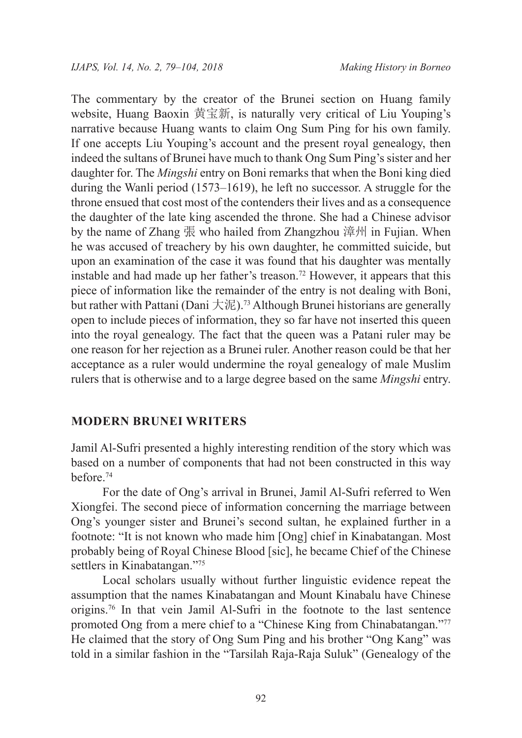The commentary by the creator of the Brunei section on Huang family website, Huang Baoxin 黄宝新, is naturally very critical of Liu Youping's narrative because Huang wants to claim Ong Sum Ping for his own family. If one accepts Liu Youping's account and the present royal genealogy, then indeed the sultans of Brunei have much to thank Ong Sum Ping's sister and her daughter for. The *Mingshi* entry on Boni remarks that when the Boni king died during the Wanli period (1573–1619), he left no successor. A struggle for the throne ensued that cost most of the contenders their lives and as a consequence the daughter of the late king ascended the throne. She had a Chinese advisor by the name of Zhang 張 who hailed from Zhangzhou 漳州 in Fujian. When he was accused of treachery by his own daughter, he committed suicide, but upon an examination of the case it was found that his daughter was mentally instable and had made up her father's treason.<sup>72</sup> However, it appears that this piece of information like the remainder of the entry is not dealing with Boni, but rather with Pattani (Dani 大泥).<sup>73</sup> Although Brunei historians are generally open to include pieces of information, they so far have not inserted this queen into the royal genealogy. The fact that the queen was a Patani ruler may be one reason for her rejection as a Brunei ruler. Another reason could be that her acceptance as a ruler would undermine the royal genealogy of male Muslim rulers that is otherwise and to a large degree based on the same *Mingshi* entry.

### **MODERN BRUNEI WRITERS**

Jamil Al-Sufri presented a highly interesting rendition of the story which was based on a number of components that had not been constructed in this way before.74

For the date of Ong's arrival in Brunei, Jamil Al-Sufri referred to Wen Xiongfei. The second piece of information concerning the marriage between Ong's younger sister and Brunei's second sultan, he explained further in a footnote: "It is not known who made him [Ong] chief in Kinabatangan. Most probably being of Royal Chinese Blood [sic], he became Chief of the Chinese settlers in Kinabatangan."<sup>75</sup>

Local scholars usually without further linguistic evidence repeat the assumption that the names Kinabatangan and Mount Kinabalu have Chinese origins.76 In that vein Jamil Al-Sufri in the footnote to the last sentence promoted Ong from a mere chief to a "Chinese King from Chinabatangan."77 He claimed that the story of Ong Sum Ping and his brother "Ong Kang" was told in a similar fashion in the "Tarsilah Raja-Raja Suluk" (Genealogy of the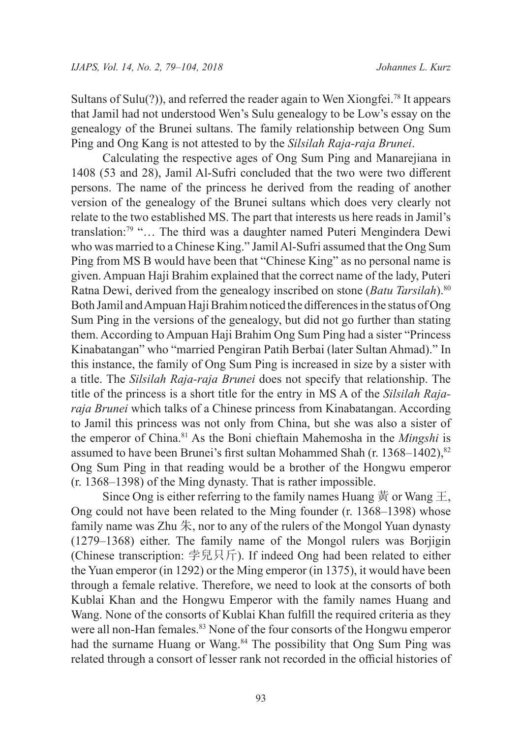Sultans of Sulu(?)), and referred the reader again to Wen Xiongfei.<sup>78</sup> It appears that Jamil had not understood Wen's Sulu genealogy to be Low's essay on the genealogy of the Brunei sultans. The family relationship between Ong Sum Ping and Ong Kang is not attested to by the *Silsilah Raja-raja Brunei*.

Calculating the respective ages of Ong Sum Ping and Manarejiana in 1408 (53 and 28), Jamil Al-Sufri concluded that the two were two different persons. The name of the princess he derived from the reading of another version of the genealogy of the Brunei sultans which does very clearly not relate to the two established MS. The part that interests us here reads in Jamil's translation:79 "… The third was a daughter named Puteri Mengindera Dewi who was married to a Chinese King." Jamil Al-Sufri assumed that the Ong Sum Ping from MS B would have been that "Chinese King" as no personal name is given. Ampuan Haji Brahim explained that the correct name of the lady, Puteri Ratna Dewi, derived from the genealogy inscribed on stone (*Batu Tarsilah*).<sup>80</sup> Both Jamil and Ampuan Haji Brahim noticed the differences in the status of Ong Sum Ping in the versions of the genealogy, but did not go further than stating them. According to Ampuan Haji Brahim Ong Sum Ping had a sister "Princess Kinabatangan" who "married Pengiran Patih Berbai (later Sultan Ahmad)." In this instance, the family of Ong Sum Ping is increased in size by a sister with a title. The *Silsilah Raja-raja Brunei* does not specify that relationship. The title of the princess is a short title for the entry in MS A of the *Silsilah Rajaraja Brunei* which talks of a Chinese princess from Kinabatangan. According to Jamil this princess was not only from China, but she was also a sister of the emperor of China.81 As the Boni chieftain Mahemosha in the *Mingshi* is assumed to have been Brunei's first sultan Mohammed Shah (r. 1368–1402), $82$ Ong Sum Ping in that reading would be a brother of the Hongwu emperor (r. 1368–1398) of the Ming dynasty. That is rather impossible.

Since Ong is either referring to the family names Huang  $\ddot{\equiv}$  or Wang  $\pm$ , Ong could not have been related to the Ming founder (r. 1368–1398) whose family name was Zhu  $\#$ , nor to any of the rulers of the Mongol Yuan dynasty (1279–1368) either. The family name of the Mongol rulers was Borjigin (Chinese transcription: 孛兒只斤). If indeed Ong had been related to either the Yuan emperor (in 1292) or the Ming emperor (in 1375), it would have been through a female relative. Therefore, we need to look at the consorts of both Kublai Khan and the Hongwu Emperor with the family names Huang and Wang. None of the consorts of Kublai Khan fulfill the required criteria as they were all non-Han females.<sup>83</sup> None of the four consorts of the Hongwu emperor had the surname Huang or Wang.<sup>84</sup> The possibility that Ong Sum Ping was related through a consort of lesser rank not recorded in the official histories of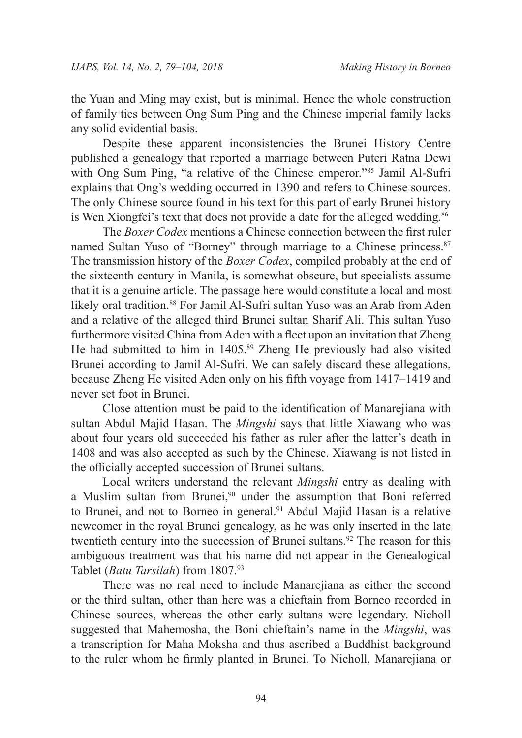the Yuan and Ming may exist, but is minimal. Hence the whole construction of family ties between Ong Sum Ping and the Chinese imperial family lacks any solid evidential basis.

Despite these apparent inconsistencies the Brunei History Centre published a genealogy that reported a marriage between Puteri Ratna Dewi with Ong Sum Ping, "a relative of the Chinese emperor."<sup>85</sup> Jamil Al-Sufri explains that Ong's wedding occurred in 1390 and refers to Chinese sources. The only Chinese source found in his text for this part of early Brunei history is Wen Xiongfei's text that does not provide a date for the alleged wedding.<sup>86</sup>

The *Boxer Codex* mentions a Chinese connection between the first ruler named Sultan Yuso of "Borney" through marriage to a Chinese princess.<sup>87</sup> The transmission history of the *Boxer Codex*, compiled probably at the end of the sixteenth century in Manila, is somewhat obscure, but specialists assume that it is a genuine article. The passage here would constitute a local and most likely oral tradition.<sup>88</sup> For Jamil Al-Sufri sultan Yuso was an Arab from Aden and a relative of the alleged third Brunei sultan Sharif Ali. This sultan Yuso furthermore visited China from Aden with a fleet upon an invitation that Zheng He had submitted to him in 1405.89 Zheng He previously had also visited Brunei according to Jamil Al-Sufri. We can safely discard these allegations, because Zheng He visited Aden only on his fifth voyage from 1417–1419 and never set foot in Brunei.

Close attention must be paid to the identification of Manarejiana with sultan Abdul Majid Hasan. The *Mingshi* says that little Xiawang who was about four years old succeeded his father as ruler after the latter's death in 1408 and was also accepted as such by the Chinese. Xiawang is not listed in the officially accepted succession of Brunei sultans.

Local writers understand the relevant *Mingshi* entry as dealing with a Muslim sultan from Brunei,<sup>90</sup> under the assumption that Boni referred to Brunei, and not to Borneo in general.<sup>91</sup> Abdul Majid Hasan is a relative newcomer in the royal Brunei genealogy, as he was only inserted in the late twentieth century into the succession of Brunei sultans.<sup>92</sup> The reason for this ambiguous treatment was that his name did not appear in the Genealogical Tablet (*Batu Tarsilah*) from 1807.93

There was no real need to include Manarejiana as either the second or the third sultan, other than here was a chieftain from Borneo recorded in Chinese sources, whereas the other early sultans were legendary. Nicholl suggested that Mahemosha, the Boni chieftain's name in the *Mingshi*, was a transcription for Maha Moksha and thus ascribed a Buddhist background to the ruler whom he firmly planted in Brunei. To Nicholl, Manarejiana or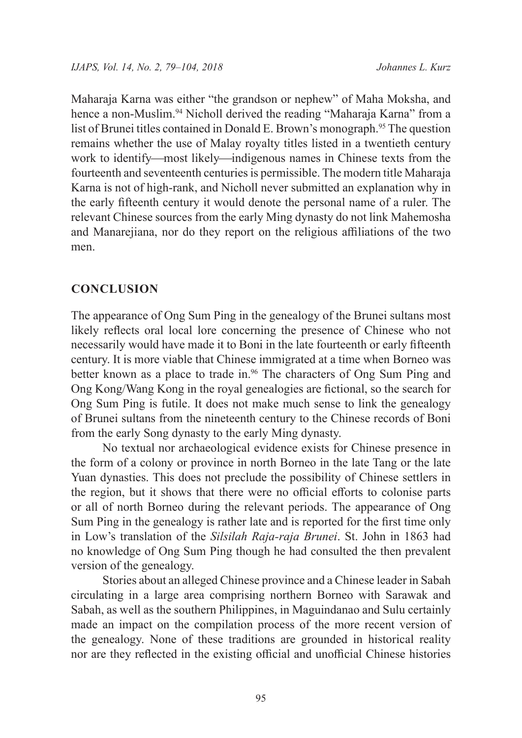Maharaja Karna was either "the grandson or nephew" of Maha Moksha, and hence a non-Muslim.<sup>94</sup> Nicholl derived the reading "Maharaja Karna" from a list of Brunei titles contained in Donald E. Brown's monograph.<sup>95</sup> The question remains whether the use of Malay royalty titles listed in a twentieth century work to identify—most likely—indigenous names in Chinese texts from the fourteenth and seventeenth centuries is permissible. The modern title Maharaja Karna is not of high-rank, and Nicholl never submitted an explanation why in the early fifteenth century it would denote the personal name of a ruler. The relevant Chinese sources from the early Ming dynasty do not link Mahemosha and Manarejiana, nor do they report on the religious affiliations of the two men.

# **CONCLUSION**

The appearance of Ong Sum Ping in the genealogy of the Brunei sultans most likely reflects oral local lore concerning the presence of Chinese who not necessarily would have made it to Boni in the late fourteenth or early fifteenth century. It is more viable that Chinese immigrated at a time when Borneo was better known as a place to trade in.<sup>96</sup> The characters of Ong Sum Ping and Ong Kong/Wang Kong in the royal genealogies are fictional, so the search for Ong Sum Ping is futile. It does not make much sense to link the genealogy of Brunei sultans from the nineteenth century to the Chinese records of Boni from the early Song dynasty to the early Ming dynasty.

No textual nor archaeological evidence exists for Chinese presence in the form of a colony or province in north Borneo in the late Tang or the late Yuan dynasties. This does not preclude the possibility of Chinese settlers in the region, but it shows that there were no official efforts to colonise parts or all of north Borneo during the relevant periods. The appearance of Ong Sum Ping in the genealogy is rather late and is reported for the first time only in Low's translation of the *Silsilah Raja-raja Brunei*. St. John in 1863 had no knowledge of Ong Sum Ping though he had consulted the then prevalent version of the genealogy.

Stories about an alleged Chinese province and a Chinese leader in Sabah circulating in a large area comprising northern Borneo with Sarawak and Sabah, as well as the southern Philippines, in Maguindanao and Sulu certainly made an impact on the compilation process of the more recent version of the genealogy. None of these traditions are grounded in historical reality nor are they reflected in the existing official and unofficial Chinese histories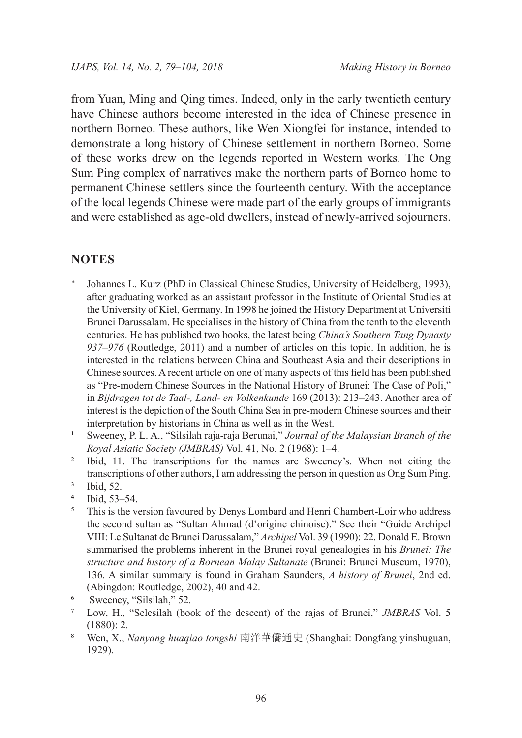from Yuan, Ming and Qing times. Indeed, only in the early twentieth century have Chinese authors become interested in the idea of Chinese presence in northern Borneo. These authors, like Wen Xiongfei for instance, intended to demonstrate a long history of Chinese settlement in northern Borneo. Some of these works drew on the legends reported in Western works. The Ong Sum Ping complex of narratives make the northern parts of Borneo home to permanent Chinese settlers since the fourteenth century. With the acceptance of the local legends Chinese were made part of the early groups of immigrants and were established as age-old dwellers, instead of newly-arrived sojourners.

### **NOTES**

- Johannes L. Kurz (PhD in Classical Chinese Studies, University of Heidelberg, 1993), after graduating worked as an assistant professor in the Institute of Oriental Studies at the University of Kiel, Germany. In 1998 he joined the History Department at Universiti Brunei Darussalam. He specialises in the history of China from the tenth to the eleventh centuries. He has published two books, the latest being *China's Southern Tang Dynasty 937–976* (Routledge, 2011) and a number of articles on this topic. In addition, he is interested in the relations between China and Southeast Asia and their descriptions in Chinese sources. A recent article on one of many aspects of this field has been published as "Pre-modern Chinese Sources in the National History of Brunei: The Case of Poli," in *Bijdragen tot de Taal-, Land- en Volkenkunde* 169 (2013): 213–243. Another area of interest is the depiction of the South China Sea in pre-modern Chinese sources and their interpretation by historians in China as well as in the West.
- 1 Sweeney, P. L. A., "Silsilah raja-raja Berunai," *Journal of the Malaysian Branch of the Royal Asiatic Society (JMBRAS)* Vol. 41, No. 2 (1968): 1–4.
- <sup>2</sup> Ibid, 11. The transcriptions for the names are Sweeney's. When not citing the transcriptions of other authors, I am addressing the person in question as Ong Sum Ping.
- 3 Ibid, 52.
- 4 Ibid, 53–54.
- <sup>5</sup> This is the version favoured by Denys Lombard and Henri Chambert-Loir who address the second sultan as "Sultan Ahmad (d'origine chinoise)." See their "Guide Archipel VIII: Le Sultanat de Brunei Darussalam," *Archipel* Vol. 39 (1990): 22. Donald E. Brown summarised the problems inherent in the Brunei royal genealogies in his *Brunei: The structure and history of a Bornean Malay Sultanate* (Brunei: Brunei Museum, 1970), 136. A similar summary is found in Graham Saunders, *A history of Brunei*, 2nd ed. (Abingdon: Routledge, 2002), 40 and 42.
- 6 Sweeney, "Silsilah," 52.
- 7 Low, H., "Selesilah (book of the descent) of the rajas of Brunei," *JMBRAS* Vol. 5 (1880): 2.
- 8 Wen, X., *Nanyang huaqiao tongshi* 南洋華僑通史 (Shanghai: Dongfang yinshuguan, 1929).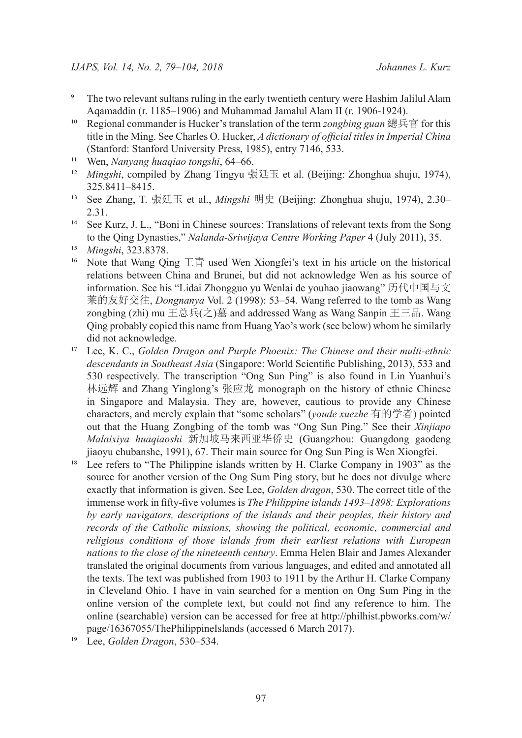- <sup>9</sup> The two relevant sultans ruling in the early twentieth century were Hashim Jalilul Alam Aqamaddin (r. 1185–1906) and Muhammad Jamalul Alam II (r. 1906-1924).
- 10 Regional commander is Hucker's translation of the term *zongbing guan* 總兵官 for this title in the Ming. See Charles O. Hucker, *A dictionary of official titles in Imperial China* (Stanford: Stanford University Press, 1985), entry 7146, 533.
- 11 Wen, *Nanyang huaqiao tongshi*, 64–66.
- 12 *Mingshi*, compiled by Zhang Tingyu 張廷玉 et al. (Beijing: Zhonghua shuju, 1974), 325.8411–8415.
- 13 See Zhang, T. 張廷玉 et al., *Mingshi* 明史 (Beijing: Zhonghua shuju, 1974), 2.30– 2.31.
- <sup>14</sup> See Kurz, J. L., "Boni in Chinese sources: Translations of relevant texts from the Song to the Qing Dynasties," *Nalanda-Sriwijaya Centre Working Paper* 4 (July 2011), 35.
- 15 *Mingshi*, 323.8378.
- <sup>16</sup> Note that Wang Qing  $\pm \vec{r}$  used Wen Xiongfei's text in his article on the historical relations between China and Brunei, but did not acknowledge Wen as his source of information. See his "Lidai Zhongguo yu Wenlai de youhao jiaowang" 历代中国与文 莱的友好交往, *Dongnanya* Vol. 2 (1998): 53–54. Wang referred to the tomb as Wang zongbing (zhi) mu 王总兵(之)墓 and addressed Wang as Wang Sanpin 王三品. Wang Qing probably copied this name from Huang Yao's work (see below) whom he similarly did not acknowledge.
- 17 Lee, K. C., *Golden Dragon and Purple Phoenix: The Chinese and their multi-ethnic descendants in Southeast Asia* (Singapore: World Scientific Publishing, 2013), 533 and 530 respectively. The transcription "Ong Sun Ping" is also found in Lin Yuanhui's 林远辉 and Zhang Yinglong's 张应龙 monograph on the history of ethnic Chinese in Singapore and Malaysia. They are, however, cautious to provide any Chinese characters, and merely explain that "some scholars" (*youde xuezhe* 有的学者) pointed out that the Huang Zongbing of the tomb was "Ong Sun Ping." See their *Xinjiapo Malaixiya huaqiaoshi* 新加坡马来西亚华侨史 (Guangzhou: Guangdong gaodeng jiaoyu chubanshe, 1991), 67. Their main source for Ong Sun Ping is Wen Xiongfei.
- <sup>18</sup> Lee refers to "The Philippine islands written by H. Clarke Company in 1903" as the source for another version of the Ong Sum Ping story, but he does not divulge where exactly that information is given. See Lee, *Golden dragon*, 530. The correct title of the immense work in fifty-five volumes is *The Philippine islands 1493–1898: Explorations by early navigators, descriptions of the islands and their peoples, their history and records of the Catholic missions, showing the political, economic, commercial and religious conditions of those islands from their earliest relations with European nations to the close of the nineteenth century*. Emma Helen Blair and James Alexander translated the original documents from various languages, and edited and annotated all the texts. The text was published from 1903 to 1911 by the Arthur H. Clarke Company in Cleveland Ohio. I have in vain searched for a mention on Ong Sum Ping in the online version of the complete text, but could not find any reference to him. The online (searchable) version can be accessed for free at http://philhist.pbworks.com/w/ page/16367055/ThePhilippineIslands (accessed 6 March 2017).

<sup>19</sup> Lee, *Golden Dragon*, 530–534.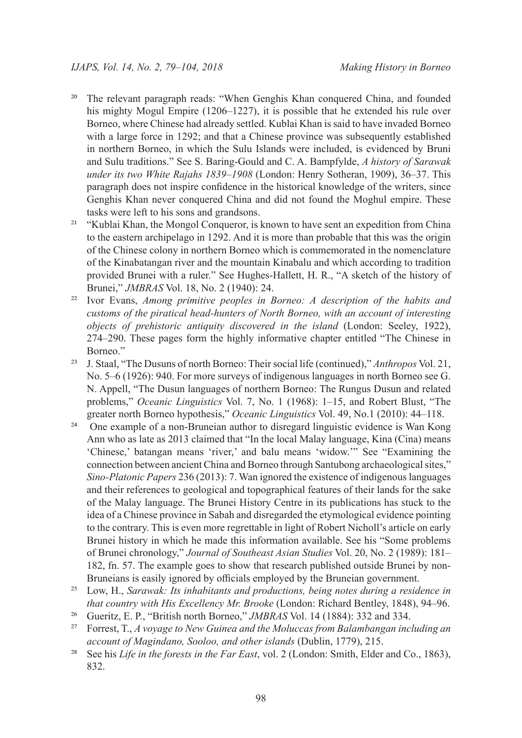- The relevant paragraph reads: "When Genghis Khan conquered China, and founded his mighty Mogul Empire (1206–1227), it is possible that he extended his rule over Borneo, where Chinese had already settled. Kublai Khan is said to have invaded Borneo with a large force in 1292; and that a Chinese province was subsequently established in northern Borneo, in which the Sulu Islands were included, is evidenced by Bruni and Sulu traditions." See S. Baring-Gould and C. A. Bampfylde, *A history of Sarawak under its two White Rajahs 1839–1908* (London: Henry Sotheran, 1909), 36–37. This paragraph does not inspire confidence in the historical knowledge of the writers, since Genghis Khan never conquered China and did not found the Moghul empire. These tasks were left to his sons and grandsons.
- <sup>21</sup> "Kublai Khan, the Mongol Conqueror, is known to have sent an expedition from China to the eastern archipelago in 1292. And it is more than probable that this was the origin of the Chinese colony in northern Borneo which is commemorated in the nomenclature of the Kinabatangan river and the mountain Kinabalu and which according to tradition provided Brunei with a ruler." See Hughes-Hallett, H. R., "A sketch of the history of Brunei," *JMBRAS* Vol. 18, No. 2 (1940): 24.
- 22 Ivor Evans, *Among primitive peoples in Borneo: A description of the habits and customs of the piratical head-hunters of North Borneo, with an account of interesting objects of prehistoric antiquity discovered in the island* (London: Seeley, 1922), 274–290. These pages form the highly informative chapter entitled "The Chinese in Borneo."
- 23 J. Staal, "The Dusuns of north Borneo: Their social life (continued)," *Anthropos* Vol. 21, No. 5–6 (1926): 940. For more surveys of indigenous languages in north Borneo see G. N. Appell, "The Dusun languages of northern Borneo: The Rungus Dusun and related problems," *Oceanic Linguistics* Vol. 7, No. 1 (1968): 1–15, and Robert Blust, "The greater north Borneo hypothesis," *Oceanic Linguistics* Vol. 49, No.1 (2010): 44–118.
- <sup>24</sup> One example of a non-Bruneian author to disregard linguistic evidence is Wan Kong Ann who as late as 2013 claimed that "In the local Malay language, Kina (Cina) means 'Chinese,' batangan means 'river,' and balu means 'widow.'" See "Examining the connection between ancient China and Borneo through Santubong archaeological sites," *Sino-Platonic Papers* 236 (2013): 7. Wan ignored the existence of indigenous languages and their references to geological and topographical features of their lands for the sake of the Malay language. The Brunei History Centre in its publications has stuck to the idea of a Chinese province in Sabah and disregarded the etymological evidence pointing to the contrary. This is even more regrettable in light of Robert Nicholl's article on early Brunei history in which he made this information available. See his "Some problems of Brunei chronology," *Journal of Southeast Asian Studies* Vol. 20, No. 2 (1989): 181– 182, fn. 57. The example goes to show that research published outside Brunei by non-Bruneians is easily ignored by officials employed by the Bruneian government.
- 25 Low, H., *Sarawak: Its inhabitants and productions, being notes during a residence in that country with His Excellency Mr. Brooke* (London: Richard Bentley, 1848), 94–96.
- 26 Gueritz, E. P., "British north Borneo," *JMBRAS* Vol. 14 (1884): 332 and 334.
- 27 Forrest, T., *A voyage to New Guinea and the Moluccas from Balambangan including an account of Magindano, Sooloo, and other islands* (Dublin, 1779), 215.
- 28 See his *Life in the forests in the Far East*, vol. 2 (London: Smith, Elder and Co., 1863), 832.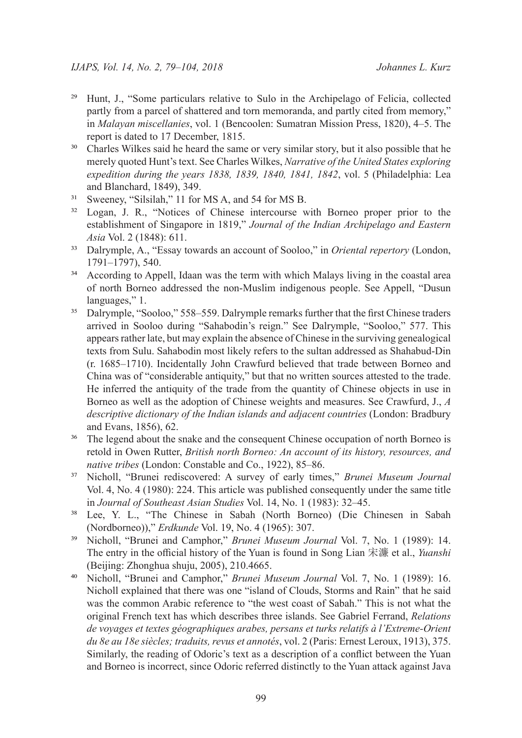- Hunt, J., "Some particulars relative to Sulo in the Archipelago of Felicia, collected partly from a parcel of shattered and torn memoranda, and partly cited from memory," in *Malayan miscellanies*, vol. 1 (Bencoolen: Sumatran Mission Press, 1820), 4–5. The report is dated to 17 December, 1815.
- <sup>30</sup> Charles Wilkes said he heard the same or very similar story, but it also possible that he merely quoted Hunt's text. See Charles Wilkes, *Narrative of the United States exploring expedition during the years 1838, 1839, 1840, 1841, 1842*, vol. 5 (Philadelphia: Lea and Blanchard, 1849), 349.
- <sup>31</sup> Sweeney, "Silsilah," 11 for MS A, and 54 for MS B.
- <sup>32</sup> Logan, J. R., "Notices of Chinese intercourse with Borneo proper prior to the establishment of Singapore in 1819," *Journal of the Indian Archipelago and Eastern Asia* Vol. 2 (1848): 611.
- 33 Dalrymple, A., "Essay towards an account of Sooloo," in *Oriental repertory* (London, 1791–1797), 540.
- <sup>34</sup> According to Appell, Idaan was the term with which Malays living in the coastal area of north Borneo addressed the non-Muslim indigenous people. See Appell, "Dusun languages," 1.
- <sup>35</sup> Dalrymple, "Sooloo," 558–559. Dalrymple remarks further that the first Chinese traders arrived in Sooloo during "Sahabodin's reign." See Dalrymple, "Sooloo," 577. This appears rather late, but may explain the absence of Chinese in the surviving genealogical texts from Sulu. Sahabodin most likely refers to the sultan addressed as Shahabud-Din (r. 1685–1710). Incidentally John Crawfurd believed that trade between Borneo and China was of "considerable antiquity," but that no written sources attested to the trade. He inferred the antiquity of the trade from the quantity of Chinese objects in use in Borneo as well as the adoption of Chinese weights and measures. See Crawfurd, J., *A descriptive dictionary of the Indian islands and adjacent countries* (London: Bradbury and Evans, 1856), 62.
- <sup>36</sup> The legend about the snake and the consequent Chinese occupation of north Borneo is retold in Owen Rutter, *British north Borneo: An account of its history, resources, and native tribes* (London: Constable and Co., 1922), 85–86.
- 37 Nicholl, "Brunei rediscovered: A survey of early times," *Brunei Museum Journal* Vol. 4, No. 4 (1980): 224. This article was published consequently under the same title in *Journal of Southeast Asian Studies* Vol. 14, No. 1 (1983): 32–45.
- 38 Lee, Y. L., "The Chinese in Sabah (North Borneo) (Die Chinesen in Sabah (Nordborneo))," *Erdkunde* Vol. 19, No. 4 (1965): 307.
- 39 Nicholl, "Brunei and Camphor," *Brunei Museum Journal* Vol. 7, No. 1 (1989): 14. The entry in the official history of the Yuan is found in Song Lian 宋濂 et al., *Yuanshi* (Beijing: Zhonghua shuju, 2005), 210.4665.
- 40 Nicholl, "Brunei and Camphor," *Brunei Museum Journal* Vol. 7, No. 1 (1989): 16. Nicholl explained that there was one "island of Clouds, Storms and Rain" that he said was the common Arabic reference to "the west coast of Sabah." This is not what the original French text has which describes three islands. See Gabriel Ferrand, *Relations de voyages et textes géographiques arabes, persans et turks relatifs à l'Extreme-Orient du 8e au 18e siècles; traduits, revus et annotés*, vol. 2 (Paris: Ernest Leroux, 1913), 375. Similarly, the reading of Odoric's text as a description of a conflict between the Yuan and Borneo is incorrect, since Odoric referred distinctly to the Yuan attack against Java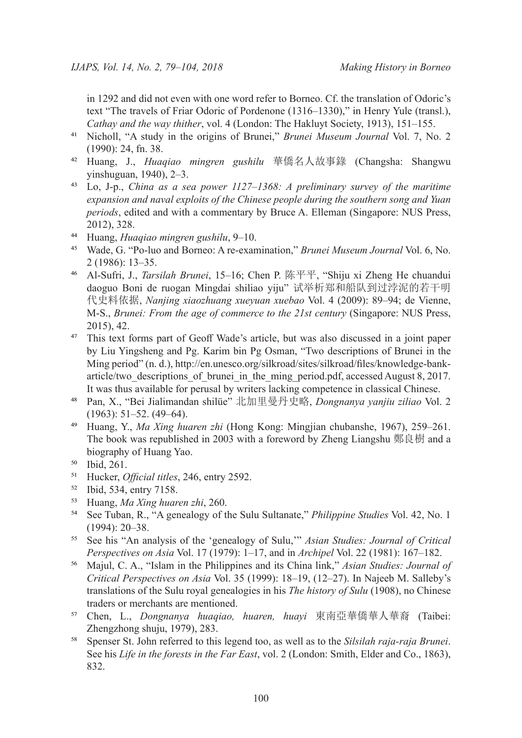in 1292 and did not even with one word refer to Borneo. Cf. the translation of Odoric's text "The travels of Friar Odoric of Pordenone (1316–1330)," in Henry Yule (transl.), *Cathay and the way thither*, vol. 4 (London: The Hakluyt Society, 1913), 151–155.

- 41 Nicholl, "A study in the origins of Brunei," *Brunei Museum Journal* Vol. 7, No. 2 (1990): 24, fn. 38.
- 42 Huang, J., *Huaqiao mingren gushilu* 華僑名人故事錄 (Changsha: Shangwu yinshuguan, 1940), 2–3.
- 43 Lo, J-p., *China as a sea power 1127–1368: A preliminary survey of the maritime expansion and naval exploits of the Chinese people during the southern song and Yuan periods*, edited and with a commentary by Bruce A. Elleman (Singapore: NUS Press, 2012), 328.
- 44 Huang, *Huaqiao mingren gushilu*, 9–10.
- 45 Wade, G. "Po-luo and Borneo: A re-examination," *Brunei Museum Journal* Vol. 6, No. 2 (1986): 13–35.
- 46 Al-Sufri, J., *Tarsilah Brunei*, 15–16; Chen P. 陈平平, "Shiju xi Zheng He chuandui daoguo Boni de ruogan Mingdai shiliao yiju" 试举析郑和船队到过浡泥的若干明 代史料依据, *Nanjing xiaozhuang xueyuan xuebao* Vol. 4 (2009): 89–94; de Vienne, M-S., *Brunei: From the age of commerce to the 21st century* (Singapore: NUS Press, 2015), 42.
- 47 This text forms part of Geoff Wade's article, but was also discussed in a joint paper by Liu Yingsheng and Pg. Karim bin Pg Osman, "Two descriptions of Brunei in the Ming period" (n. d.), http://en.unesco.org/silkroad/sites/silkroad/files/knowledge-bankarticle/two descriptions of brunei in the ming period.pdf, accessed August 8, 2017. It was thus available for perusal by writers lacking competence in classical Chinese.
- 48 Pan, X., "Bei Jialimandan shilüe" 北加里曼丹史略, *Dongnanya yanjiu ziliao* Vol. 2 (1963): 51–52. (49–64).
- 49 Huang, Y., *Ma Xing huaren zhi* (Hong Kong: Mingjian chubanshe, 1967), 259–261. The book was republished in 2003 with a foreword by Zheng Liangshu 鄭良樹 and a biography of Huang Yao.
- 50 Ibid, 261.
- 51 Hucker, *Official titles*, 246, entry 2592.
- 52 Ibid, 534, entry 7158.
- 53 Huang, *Ma Xing huaren zhi*, 260.
- 54 See Tuban, R., "A genealogy of the Sulu Sultanate," *Philippine Studies* Vol. 42, No. 1 (1994): 20–38.
- 55 See his "An analysis of the 'genealogy of Sulu,'" *Asian Studies: Journal of Critical Perspectives on Asia* Vol. 17 (1979): 1–17, and in *Archipel* Vol. 22 (1981): 167–182.
- 56 Majul, C. A., "Islam in the Philippines and its China link," *Asian Studies: Journal of Critical Perspectives on Asia* Vol. 35 (1999): 18–19, (12–27). In Najeeb M. Salleby's translations of the Sulu royal genealogies in his *The history of Sulu* (1908), no Chinese traders or merchants are mentioned.
- 57 Chen, L., *Dongnanya huaqiao, huaren, huayi* 東南亞華僑華人華裔 (Taibei: Zhengzhong shuju, 1979), 283.
- 58 Spenser St. John referred to this legend too, as well as to the *Silsilah raja-raja Brunei*. See his *Life in the forests in the Far East*, vol. 2 (London: Smith, Elder and Co., 1863), 832.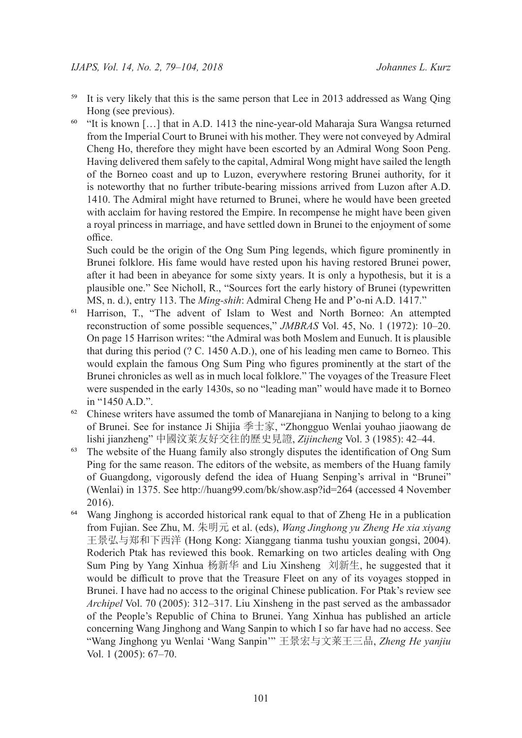- <sup>59</sup> It is very likely that this is the same person that Lee in 2013 addressed as Wang Qing Hong (see previous).
- 60 "It is known […] that in A.D. 1413 the nine-year-old Maharaja Sura Wangsa returned from the Imperial Court to Brunei with his mother. They were not conveyed by Admiral Cheng Ho, therefore they might have been escorted by an Admiral Wong Soon Peng. Having delivered them safely to the capital, Admiral Wong might have sailed the length of the Borneo coast and up to Luzon, everywhere restoring Brunei authority, for it is noteworthy that no further tribute-bearing missions arrived from Luzon after A.D. 1410. The Admiral might have returned to Brunei, where he would have been greeted with acclaim for having restored the Empire. In recompense he might have been given a royal princess in marriage, and have settled down in Brunei to the enjoyment of some office.

Such could be the origin of the Ong Sum Ping legends, which figure prominently in Brunei folklore. His fame would have rested upon his having restored Brunei power, after it had been in abeyance for some sixty years. It is only a hypothesis, but it is a plausible one." See Nicholl, R., "Sources fort the early history of Brunei (typewritten MS, n. d.), entry 113. The *Ming-shih*: Admiral Cheng He and P'o-ni A.D. 1417."

- 61 Harrison, T., "The advent of Islam to West and North Borneo: An attempted reconstruction of some possible sequences," *JMBRAS* Vol. 45, No. 1 (1972): 10–20. On page 15 Harrison writes: "the Admiral was both Moslem and Eunuch. It is plausible that during this period (? C. 1450 A.D.), one of his leading men came to Borneo. This would explain the famous Ong Sum Ping who figures prominently at the start of the Brunei chronicles as well as in much local folklore." The voyages of the Treasure Fleet were suspended in the early 1430s, so no "leading man" would have made it to Borneo in "1450 A.D.".
- $62$  Chinese writers have assumed the tomb of Manarejiana in Nanjing to belong to a king of Brunei. See for instance Ji Shijia 季士家, "Zhongguo Wenlai youhao jiaowang de lishi jianzheng" 中國汶萊友好交往的歷史見證, *Zijincheng* Vol. 3 (1985): 42–44.
- <sup>63</sup> The website of the Huang family also strongly disputes the identification of Ong Sum Ping for the same reason. The editors of the website, as members of the Huang family of Guangdong, vigorously defend the idea of Huang Senping's arrival in "Brunei" (Wenlai) in 1375. See http://huang99.com/bk/show.asp?id=264 (accessed 4 November 2016).
- <sup>64</sup> Wang Jinghong is accorded historical rank equal to that of Zheng He in a publication from Fujian. See Zhu, M. 朱明元 et al. (eds), *Wang Jinghong yu Zheng He xia xiyang* 王景弘与郑和下西洋 (Hong Kong: Xianggang tianma tushu youxian gongsi, 2004). Roderich Ptak has reviewed this book. Remarking on two articles dealing with Ong Sum Ping by Yang Xinhua 杨新华 and Liu Xinsheng 刘新生, he suggested that it would be difficult to prove that the Treasure Fleet on any of its voyages stopped in Brunei. I have had no access to the original Chinese publication. For Ptak's review see *Archipel* Vol. 70 (2005): 312–317. Liu Xinsheng in the past served as the ambassador of the People's Republic of China to Brunei. Yang Xinhua has published an article concerning Wang Jinghong and Wang Sanpin to which I so far have had no access. See "Wang Jinghong yu Wenlai 'Wang Sanpin'" 王景宏与文莱王三品, *Zheng He yanjiu* Vol. 1 (2005): 67–70.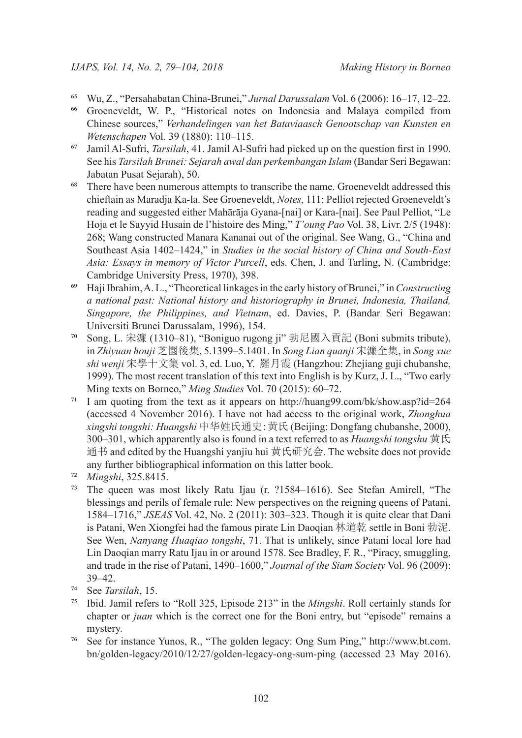- 65 Wu, Z., "Persahabatan China-Brunei," *Jurnal Darussalam* Vol. 6 (2006): 16–17, 12–22.
- 66 Groeneveldt, W. P., "Historical notes on Indonesia and Malaya compiled from Chinese sources," *Verhandelingen van het Bataviaasch Genootschap van Kunsten en Wetenschapen* Vol. 39 (1880): 110–115.
- 67 Jamil Al-Sufri, *Tarsilah*, 41. Jamil Al-Sufri had picked up on the question first in 1990. See his *Tarsilah Brunei: Sejarah awal dan perkembangan Islam* (Bandar Seri Begawan: Jabatan Pusat Sejarah), 50.
- <sup>68</sup> There have been numerous attempts to transcribe the name. Groeneveldt addressed this chieftain as Maradja Ka-la. See Groeneveldt, *Notes*, 111; Pelliot rejected Groeneveldt's reading and suggested either Mahārāja Gyana-[nai] or Kara-[nai]. See Paul Pelliot, "Le Hoja et le Sayyid Husain de l'histoire des Ming," *T'oung Pao* Vol. 38, Livr. 2/5 (1948): 268; Wang constructed Manara Kananai out of the original. See Wang, G., "China and Southeast Asia 1402–1424," in *Studies in the social history of China and South-East Asia: Essays in memory of Victor Purcell*, eds. Chen, J. and Tarling, N. (Cambridge: Cambridge University Press, 1970), 398.
- 69 Haji Ibrahim, A. L., "Theoretical linkages in the early history of Brunei," in *Constructing a national past: National history and historiography in Brunei, Indonesia, Thailand, Singapore, the Philippines, and Vietnam*, ed. Davies, P. (Bandar Seri Begawan: Universiti Brunei Darussalam, 1996), 154.
- 70 Song, L. 宋濂 (1310–81), "Boniguo rugong ji" 勃尼國入貢記 (Boni submits tribute), in *Zhiyuan houji* 芝園後集, 5.1399–5.1401. In *Song Lian quanji* 宋濂全集, in *Song xue shi wenji* 宋學十文集 vol. 3, ed. Luo, Y. 羅月霞 (Hangzhou: Zhejiang guji chubanshe, 1999). The most recent translation of this text into English is by Kurz, J. L., "Two early Ming texts on Borneo," *Ming Studies* Vol. 70 (2015): 60–72.
- <sup>71</sup> I am quoting from the text as it appears on http://huang99.com/bk/show.asp?id=264 (accessed 4 November 2016). I have not had access to the original work, *Zhonghua xingshi tongshi: Huangshi* 中华姓氏通史:黄氏 (Beijing: Dongfang chubanshe, 2000), 300–301, which apparently also is found in a text referred to as *Huangshi tongshu* 黄氏 通书 and edited by the Huangshi yanjiu hui 黄氏研究会. The website does not provide any further bibliographical information on this latter book.
- 72 *Mingshi*, 325.8415.
- 73 The queen was most likely Ratu Ijau (r. ?1584–1616). See Stefan Amirell, "The blessings and perils of female rule: New perspectives on the reigning queens of Patani, 1584–1716," *JSEAS* Vol. 42, No. 2 (2011): 303–323. Though it is quite clear that Dani is Patani, Wen Xiongfei had the famous pirate Lin Daoqian 林道乾 settle in Boni 勃泥. See Wen, *Nanyang Huaqiao tongshi*, 71. That is unlikely, since Patani local lore had Lin Daoqian marry Ratu Ijau in or around 1578. See Bradley, F. R., "Piracy, smuggling, and trade in the rise of Patani, 1490–1600," *Journal of the Siam Society* Vol. 96 (2009): 39–42.
- 74 See *Tarsilah*, 15.
- 75 Ibid. Jamil refers to "Roll 325, Episode 213" in the *Mingshi*. Roll certainly stands for chapter or *juan* which is the correct one for the Boni entry, but "episode" remains a mystery.
- 76 See for instance Yunos, R., "The golden legacy: Ong Sum Ping," http://www.bt.com. bn/golden-legacy/2010/12/27/golden-legacy-ong-sum-ping (accessed 23 May 2016).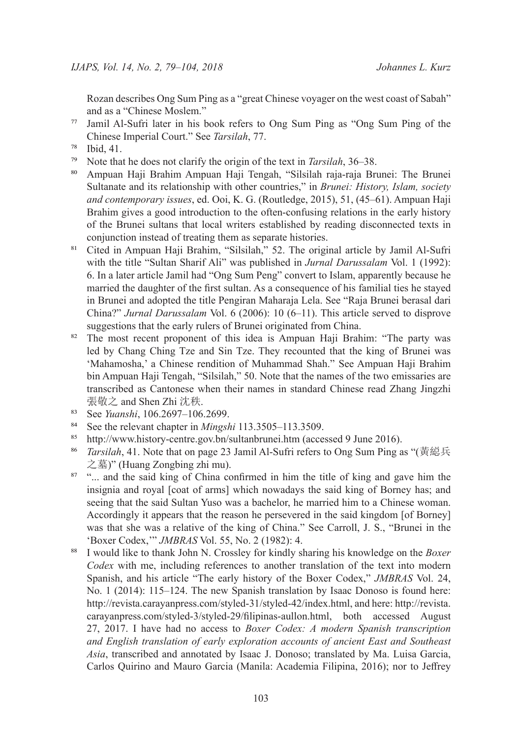Rozan describes Ong Sum Ping as a "great Chinese voyager on the west coast of Sabah" and as a "Chinese Moslem."

- 77 Jamil Al-Sufri later in his book refers to Ong Sum Ping as "Ong Sum Ping of the Chinese Imperial Court." See *Tarsilah*, 77.
- 78 Ibid, 41.
- 79 Note that he does not clarify the origin of the text in *Tarsilah*, 36–38.
- 80 Ampuan Haji Brahim Ampuan Haji Tengah, "Silsilah raja-raja Brunei: The Brunei Sultanate and its relationship with other countries," in *Brunei: History, Islam, society and contemporary issues*, ed. Ooi, K. G. (Routledge, 2015), 51, (45–61). Ampuan Haji Brahim gives a good introduction to the often-confusing relations in the early history of the Brunei sultans that local writers established by reading disconnected texts in conjunction instead of treating them as separate histories.
- <sup>81</sup> Cited in Ampuan Haji Brahim, "Silsilah," 52. The original article by Jamil Al-Sufri with the title "Sultan Sharif Ali" was published in *Jurnal Darussalam* Vol. 1 (1992): 6. In a later article Jamil had "Ong Sum Peng" convert to Islam, apparently because he married the daughter of the first sultan. As a consequence of his familial ties he stayed in Brunei and adopted the title Pengiran Maharaja Lela. See "Raja Brunei berasal dari China?" *Jurnal Darussalam* Vol. 6 (2006): 10 (6–11). This article served to disprove suggestions that the early rulers of Brunei originated from China.
- <sup>82</sup> The most recent proponent of this idea is Ampuan Haji Brahim: "The party was led by Chang Ching Tze and Sin Tze. They recounted that the king of Brunei was 'Mahamosha,' a Chinese rendition of Muhammad Shah." See Ampuan Haji Brahim bin Ampuan Haji Tengah, "Silsilah," 50. Note that the names of the two emissaries are transcribed as Cantonese when their names in standard Chinese read Zhang Jingzhi 張敬之 and Shen Zhi 沈秩.
- 83 See *Yuanshi*, 106.2697–106.2699.
- 84 See the relevant chapter in *Mingshi* 113.3505–113.3509.
- 85 http://www.history-centre.gov.bn/sultanbrunei.htm (accessed 9 June 2016).
- 86 *Tarsilah*, 41. Note that on page 23 Jamil Al-Sufri refers to Ong Sum Ping as "(黃縂兵 之墓)" (Huang Zongbing zhi mu).
- <sup>87</sup> "... and the said king of China confirmed in him the title of king and gave him the insignia and royal [coat of arms] which nowadays the said king of Borney has; and seeing that the said Sultan Yuso was a bachelor, he married him to a Chinese woman. Accordingly it appears that the reason he persevered in the said kingdom [of Borney] was that she was a relative of the king of China." See Carroll, J. S., "Brunei in the 'Boxer Codex,'" *JMBRAS* Vol. 55, No. 2 (1982): 4.
- 88 I would like to thank John N. Crossley for kindly sharing his knowledge on the *Boxer Codex* with me, including references to another translation of the text into modern Spanish, and his article "The early history of the Boxer Codex," *JMBRAS* Vol. 24, No. 1 (2014): 115–124. The new Spanish translation by Isaac Donoso is found here: http://revista.carayanpress.com/styled-31/styled-42/index.html, and here: http://revista. carayanpress.com/styled-3/styled-29/filipinas-aullon.html, both accessed August 27, 2017. I have had no access to *Boxer Codex: A modern Spanish transcription and English translation of early exploration accounts of ancient East and Southeast Asia*, transcribed and annotated by Isaac J. Donoso; translated by Ma. Luisa Garcia, Carlos Quirino and Mauro Garcia (Manila: Academia Filipina, 2016); nor to Jeffrey